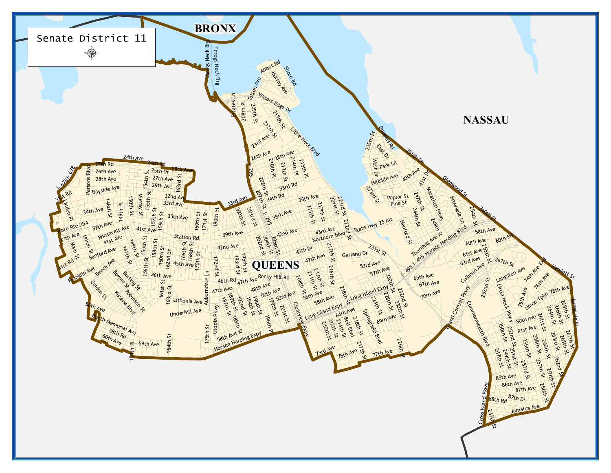